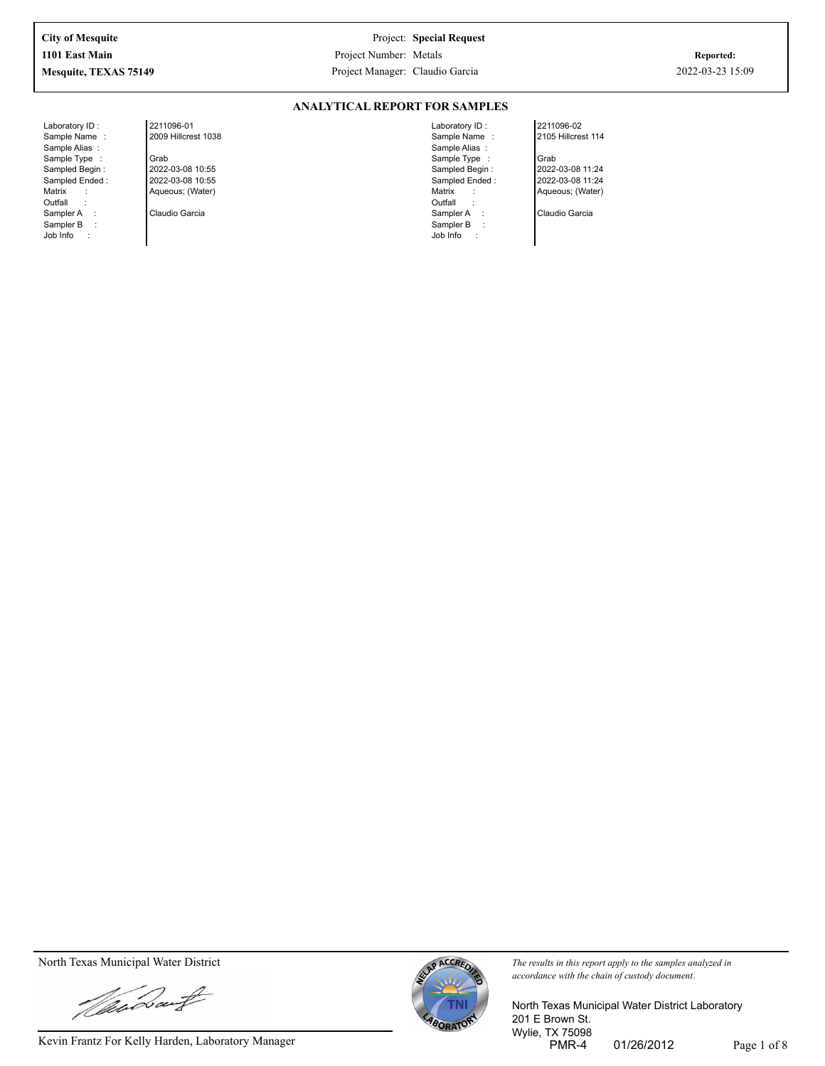**ANALYTICAL REPORT FOR SAMPLES**

Laboratory ID : Sample Name : Sample Alias : Sample Type : Sampled Begin : Sampled Ended : Matrix : Outfall : Sampler A : Sampler B : Job Info :

2211096-01 2009 Hillcrest 1038 Grab 2022-03-08 10:55 2022-03-08 10:55 Aqueous; (Water)

Claudio Garcia

Laboratory ID : Sample Name : Sample Alias : Sample Type : Sampled Begin : Sampled Ended : Matrix : **Outfall** Sampler A : Sampler B : Job Info :

2211096-02 2105 Hillcrest 114 Grab 2022-03-08 11:24

2022-03-08 11:24

Aqueous; (Water) Claudio Garcia

Vandant

Kevin Frantz For Kelly Harden, Laboratory Manager PMR-4 01/26/2012 Page 1 of 8



North Texas Municipal Water District **The results in this report apply to the samples analyzed in** *The results in this report apply to the samples analyzed in accordance with the chain of custody document.*

> North Texas Municipal Water District Laboratory 201 E Brown St. Wylie, TX 75098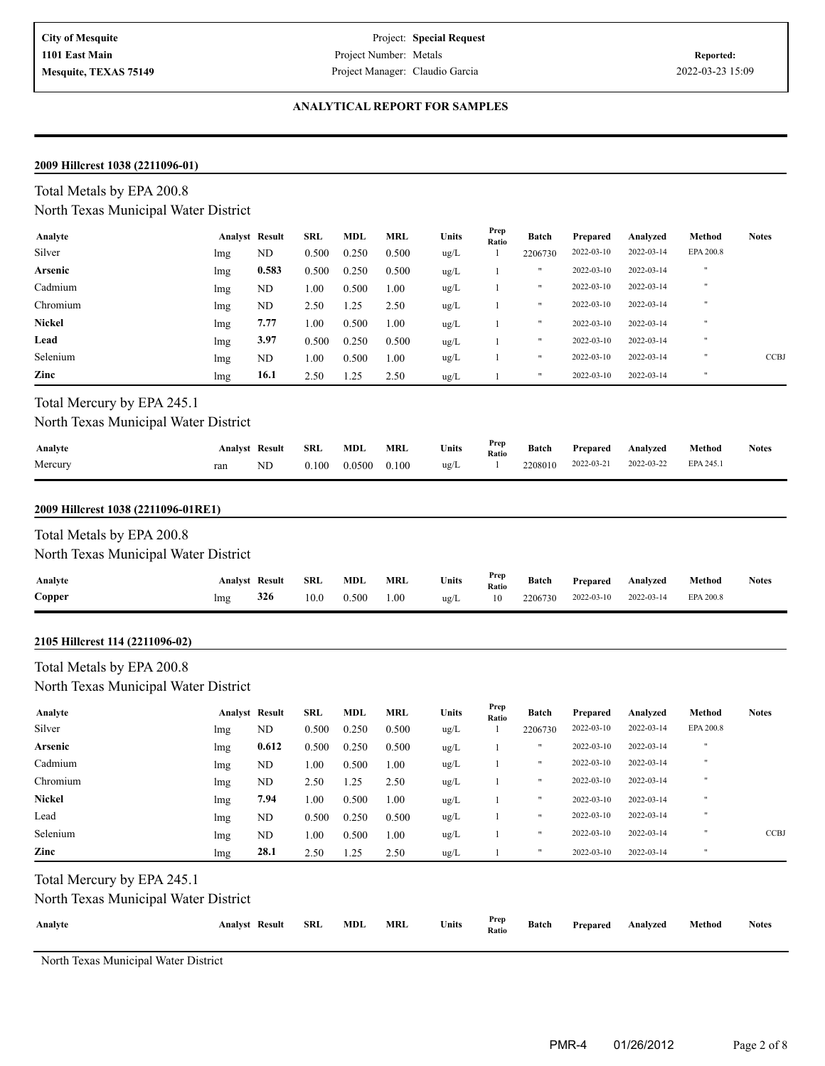#### **ANALYTICAL REPORT FOR SAMPLES**

#### **2009 Hillcrest 1038 (2211096-01)**

#### **Analyte Analyst Result SRL Units Batch Analyzed Method Notes Prep Ratio** Total Metals by EPA 200.8 North Texas Municipal Water District **MDL MRL** Units  $\frac{Prep}{Ratio}$  **Batch** Prepared Silver 1 2206730 2022-03-14 EPA 200.8 lmg ND 0.500 0.250 0.500 ug/L 1 2206730 2022-03-10 2022-03-14 EPA 200.8 **Arsenic** lmg **0.583** 0.500 0.250 0.500 ug/L 1 " 2022-03-10 2022-03-14 " ug/L 2022-03-14 " Cadmium lmg ND 1.00 0.500 1.00 1 " 2022-03-10 ug/L 2022-03-14 " Chromium lmg ND 2.50 1.25 2.50 1 " 2022-03-10 **Nickel** lmg **7.77** 1.00 0.500 1.00 ug/L 1 " 2022-03-10 2022-03-14 " **Lead** lmg **3.97** 0.500 0.250 0.500 ug/L 1 " 2022-03-10 2022-03-14 " ug/L 2022-03-14 " Selenium ND " CCBJ lmg 1.00 0.500 1.00 1 2022-03-10 **Zinc lmg 16.1** 2.50 1.25 2.50 ug/L 1 " 2022-03-10 2022-03-14 "

# Total Mercury by EPA 245.1

### North Texas Municipal Water District

| Analyte | <b>Analyst Result</b> |    | SRL   | MDL                  | MRL | Units       | Prep<br>Ratio |                    | Batch Prepared Analyzed |            | Method    | <b>Notes</b> |
|---------|-----------------------|----|-------|----------------------|-----|-------------|---------------|--------------------|-------------------------|------------|-----------|--------------|
| Mercury | ran                   | ND | 0.100 | $0.0500 \quad 0.100$ |     | $\mu$ g/L 1 |               | 2208010 2022-03-21 |                         | 2022-03-22 | EPA 245.1 |              |

#### **2009 Hillcrest 1038 (2211096-01RE1)**

#### Total Metals by EPA 200.8

### North Texas Municipal Water District

| Analyte | <b>Analyst Result</b> |     | <b>SRL</b> | <b>MDL</b> | <b>MRL</b> | Units         | Prep<br>Ratio | <b>Batch</b> | Prepared   | Analyzed   | Method    | <b>Notes</b> |
|---------|-----------------------|-----|------------|------------|------------|---------------|---------------|--------------|------------|------------|-----------|--------------|
| Copper  | lmg                   | 326 | 10.0       | 0.500      | 00.1       | $u\text{g}/L$ | 10            | 2206730      | 2022-03-10 | 2022-03-14 | EPA 200.8 |              |

#### **2105 Hillcrest 114 (2211096-02)**

# Total Metals by EPA 200.8

North Texas Municipal Water District

| Analyte       | <b>Analyst Result</b> |       | SRL      | <b>MDL</b> | <b>MRL</b> | <b>Units</b>  | Prep<br>Ratio | Batch        | Prepared   | Analyzed   | Method       | <b>Notes</b> |
|---------------|-----------------------|-------|----------|------------|------------|---------------|---------------|--------------|------------|------------|--------------|--------------|
| Silver        | lmg                   | ND    | 0.500    | 0.250      | 0.500      | ug/L          |               | 2206730      | 2022-03-10 | 2022-03-14 | EPA 200.8    |              |
| Arsenic       | lmg                   | 0.612 | 0.500    | 0.250      | 0.500      | $\text{ug/L}$ |               |              | 2022-03-10 | 2022-03-14 | - 11         |              |
| Cadmium       | lmg                   | ND    | 1.00     | 0.500      | 1.00       | $\text{ug/L}$ |               | $\mathbf{H}$ | 2022-03-10 | 2022-03-14 | $\mathbf{u}$ |              |
| Chromium      | lmg                   | ND    | 2.50     | 1.25       | 2.50       | ug/L          |               |              | 2022-03-10 | 2022-03-14 | $\mathbf{u}$ |              |
| <b>Nickel</b> | lmg                   | 7.94  | $1.00\,$ | 0.500      | 1.00       | $\text{ug/L}$ |               |              | 2022-03-10 | 2022-03-14 | $\mathbf{u}$ |              |
| Lead          | lmg                   | ND    | 0.500    | 0.250      | 0.500      | ug/L          |               |              | 2022-03-10 | 2022-03-14 | $\mathbf{u}$ |              |
| Selenium      | lmg                   | ND    | $1.00\,$ | 0.500      | 1.00       | ug/L          |               |              | 2022-03-10 | 2022-03-14 | - 11         | <b>CCBJ</b>  |
| Zinc          | lmg                   | 28.1  | 2.50     | 1.25       | 2.50       | ug/L          |               |              | 2022-03-10 | 2022-03-14 | $^{\circ}$   |              |

### Total Mercury by EPA 245.1

North Texas Municipal Water District

| Analyte | <b>Analyst Result</b> | SRL | MDL | MRL | Units | Prep<br>Ratio |  | Batch Prepared Analyzed Method | <b>Notes</b> |
|---------|-----------------------|-----|-----|-----|-------|---------------|--|--------------------------------|--------------|
|         |                       |     |     |     |       |               |  |                                |              |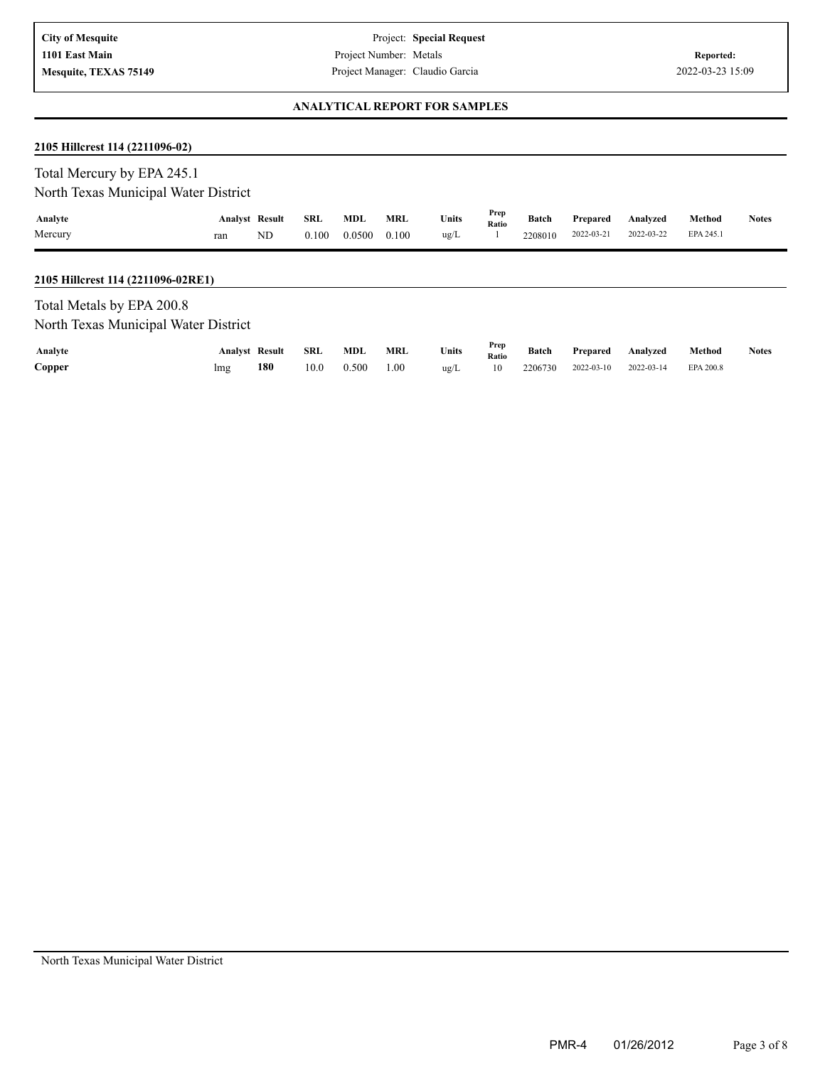### **ANALYTICAL REPORT FOR SAMPLES**

# **2105 Hillcrest 114 (2211096-02)**

| Total Mercury by EPA 245.1<br>North Texas Municipal Water District |                              |    |                     |                      |                     |               |               |                         |                        |                        |                     |              |
|--------------------------------------------------------------------|------------------------------|----|---------------------|----------------------|---------------------|---------------|---------------|-------------------------|------------------------|------------------------|---------------------|--------------|
| Analyte<br>Mercury                                                 | <b>Analyst Result</b><br>ran | ND | <b>SRL</b><br>0.100 | <b>MDL</b><br>0.0500 | <b>MRL</b><br>0.100 | Units<br>ug/L | Prep<br>Ratio | <b>Batch</b><br>2208010 | Prepared<br>2022-03-21 | Analyzed<br>2022-03-22 | Method<br>EPA 245.1 | <b>Notes</b> |
| 2105 Hillcrest 114 (2211096-02RE1)                                 |                              |    |                     |                      |                     |               |               |                         |                        |                        |                     |              |
| Total Metals by EPA 200.8<br>North Texas Municipal Water District  |                              |    |                     |                      |                     |               |               |                         |                        |                        |                     |              |
| Analyte                                                            | <b>Analyst Result</b>        |    | <b>SRL</b>          | MDL                  | <b>MRL</b>          | Units         | Prep<br>Ratio | <b>Batch</b>            | Prepared               | Analyzed               | Method              | <b>Notes</b> |

**Copper** 2 200.8 lmg 180 10.0 0.500 1.00 ug/L 10 2206730 2022-03-10 2022-03-14 EPA 200.8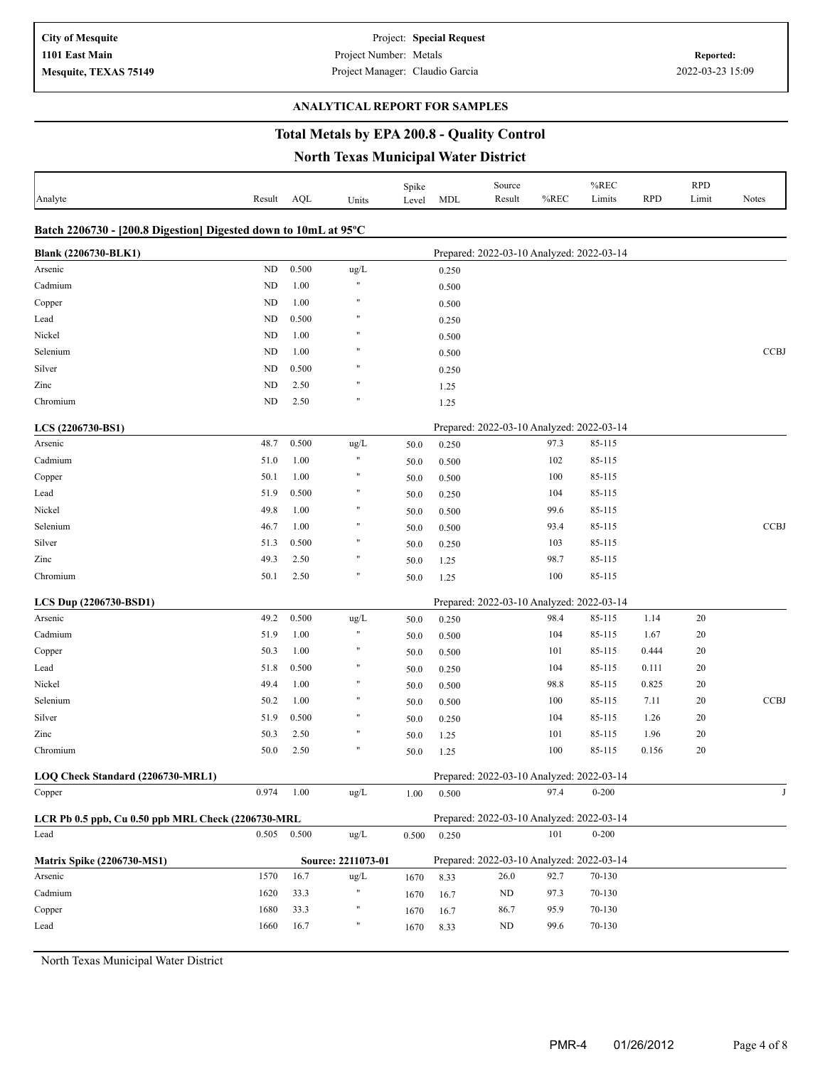### **ANALYTICAL REPORT FOR SAMPLES**

# **Total Metals by EPA 200.8 - Quality Control**

**North Texas Municipal Water District**

| Analyte                                                         | Result    | AQL   | Units                | Spike<br>Level | MDL   | Source<br>Result                          | %REC | %REC<br>Limits | <b>RPD</b> | <b>RPD</b><br>Limit | <b>Notes</b> |
|-----------------------------------------------------------------|-----------|-------|----------------------|----------------|-------|-------------------------------------------|------|----------------|------------|---------------------|--------------|
| Batch 2206730 - [200.8 Digestion] Digested down to 10mL at 95°C |           |       |                      |                |       |                                           |      |                |            |                     |              |
| Blank (2206730-BLK1)                                            |           |       |                      |                |       | Prepared: 2022-03-10 Analyzed: 2022-03-14 |      |                |            |                     |              |
| Arsenic                                                         | <b>ND</b> | 0.500 | $\rm ug/L$           |                | 0.250 |                                           |      |                |            |                     |              |
| Cadmium                                                         | <b>ND</b> | 1.00  | $\pmb{\mathfrak{m}}$ |                | 0.500 |                                           |      |                |            |                     |              |
| Copper                                                          | <b>ND</b> | 1.00  | Ħ                    |                | 0.500 |                                           |      |                |            |                     |              |
| Lead                                                            | <b>ND</b> | 0.500 | $^{\dagger}$         |                | 0.250 |                                           |      |                |            |                     |              |
| Nickel                                                          | <b>ND</b> | 1.00  | $^{\dagger}$         |                | 0.500 |                                           |      |                |            |                     |              |
| Selenium                                                        | <b>ND</b> | 1.00  | $^{\dagger}$         |                | 0.500 |                                           |      |                |            |                     | <b>CCBJ</b>  |
| Silver                                                          | <b>ND</b> | 0.500 | 11                   |                | 0.250 |                                           |      |                |            |                     |              |
| Zinc                                                            | <b>ND</b> | 2.50  | 11                   |                | 1.25  |                                           |      |                |            |                     |              |
| Chromium                                                        | <b>ND</b> | 2.50  | $^{\dagger}$         |                | 1.25  |                                           |      |                |            |                     |              |
| LCS (2206730-BS1)                                               |           |       |                      |                |       | Prepared: 2022-03-10 Analyzed: 2022-03-14 |      |                |            |                     |              |
| Arsenic                                                         | 48.7      | 0.500 | ug/L                 | 50.0           | 0.250 |                                           | 97.3 | 85-115         |            |                     |              |
| Cadmium                                                         | 51.0      | 1.00  | $\pmb{\mathfrak{m}}$ | 50.0           | 0.500 |                                           | 102  | 85-115         |            |                     |              |
| Copper                                                          | 50.1      | 1.00  | $\pmb{\mathfrak{m}}$ | 50.0           | 0.500 |                                           | 100  | 85-115         |            |                     |              |
| Lead                                                            | 51.9      | 0.500 | Ħ                    | 50.0           | 0.250 |                                           | 104  | 85-115         |            |                     |              |
| Nickel                                                          | 49.8      | 1.00  | $\pmb{\mathfrak{m}}$ | 50.0           | 0.500 |                                           | 99.6 | 85-115         |            |                     |              |
| Selenium                                                        | 46.7      | 1.00  | $\pmb{\mathfrak{m}}$ | 50.0           | 0.500 |                                           | 93.4 | 85-115         |            |                     | <b>CCBJ</b>  |
| Silver                                                          | 51.3      | 0.500 | $\pmb{\mathfrak{m}}$ | 50.0           | 0.250 |                                           | 103  | 85-115         |            |                     |              |
| Zinc                                                            | 49.3      | 2.50  | $\pmb{\mathfrak{m}}$ | 50.0           | 1.25  |                                           | 98.7 | 85-115         |            |                     |              |
| Chromium                                                        | 50.1      | 2.50  | Ħ                    | 50.0           | 1.25  |                                           | 100  | 85-115         |            |                     |              |
| LCS Dup (2206730-BSD1)                                          |           |       |                      |                |       | Prepared: 2022-03-10 Analyzed: 2022-03-14 |      |                |            |                     |              |
| Arsenic                                                         | 49.2      | 0.500 | ug/L                 | 50.0           | 0.250 |                                           | 98.4 | 85-115         | 1.14       | 20                  |              |
| Cadmium                                                         | 51.9      | 1.00  | $\blacksquare$       | 50.0           | 0.500 |                                           | 104  | 85-115         | 1.67       | 20                  |              |
| Copper                                                          | 50.3      | 1.00  | 11                   | 50.0           | 0.500 |                                           | 101  | 85-115         | 0.444      | 20                  |              |
| Lead                                                            | 51.8      | 0.500 | Ħ                    | 50.0           | 0.250 |                                           | 104  | 85-115         | 0.111      | 20                  |              |
| Nickel                                                          | 49.4      | 1.00  | $\pmb{\mathfrak{m}}$ | 50.0           | 0.500 |                                           | 98.8 | 85-115         | 0.825      | 20                  |              |
| Selenium                                                        | 50.2      | 1.00  | $\pmb{\mathfrak{m}}$ | 50.0           | 0.500 |                                           | 100  | 85-115         | 7.11       | 20                  | <b>CCBJ</b>  |
| Silver                                                          | 51.9      | 0.500 | $\pmb{\mathfrak{m}}$ | 50.0           | 0.250 |                                           | 104  | 85-115         | 1.26       | 20                  |              |
| Zinc                                                            | 50.3      | 2.50  | $\pmb{\mathfrak{m}}$ | 50.0           | 1.25  |                                           | 101  | 85-115         | 1.96       | 20                  |              |
| Chromium                                                        | 50.0      | 2.50  | $\pmb{\mathfrak{m}}$ | 50.0           | 1.25  |                                           | 100  | 85-115         | 0.156      | 20                  |              |
| LOQ Check Standard (2206730-MRL1)                               |           |       |                      |                |       | Prepared: 2022-03-10 Analyzed: 2022-03-14 |      |                |            |                     |              |
| Copper                                                          | 0.974     | 1.00  | ug/L                 | 1.00           | 0.500 |                                           | 97.4 | $0 - 200$      |            |                     |              |
| LCR Pb 0.5 ppb, Cu 0.50 ppb MRL Check (2206730-MRL              |           |       |                      |                |       | Prepared: 2022-03-10 Analyzed: 2022-03-14 |      |                |            |                     |              |
| Lead                                                            | 0.505     | 0.500 | ug/L                 | 0.500          | 0.250 |                                           | 101  | $0 - 200$      |            |                     |              |
| <b>Matrix Spike (2206730-MS1)</b>                               |           |       | Source: 2211073-01   |                |       | Prepared: 2022-03-10 Analyzed: 2022-03-14 |      |                |            |                     |              |
| Arsenic                                                         | 1570      | 16.7  | $\rm ug/L$           | 1670           | 8.33  | 26.0                                      | 92.7 | 70-130         |            |                     |              |
| Cadmium                                                         | 1620      | 33.3  | Ħ                    | 1670           | 16.7  | ND                                        | 97.3 | 70-130         |            |                     |              |
| Copper                                                          | 1680      | 33.3  | Ħ                    | 1670           | 16.7  | 86.7                                      | 95.9 | 70-130         |            |                     |              |
| Lead                                                            | 1660      | 16.7  | Ħ                    | 1670           | 8.33  | ND                                        | 99.6 | 70-130         |            |                     |              |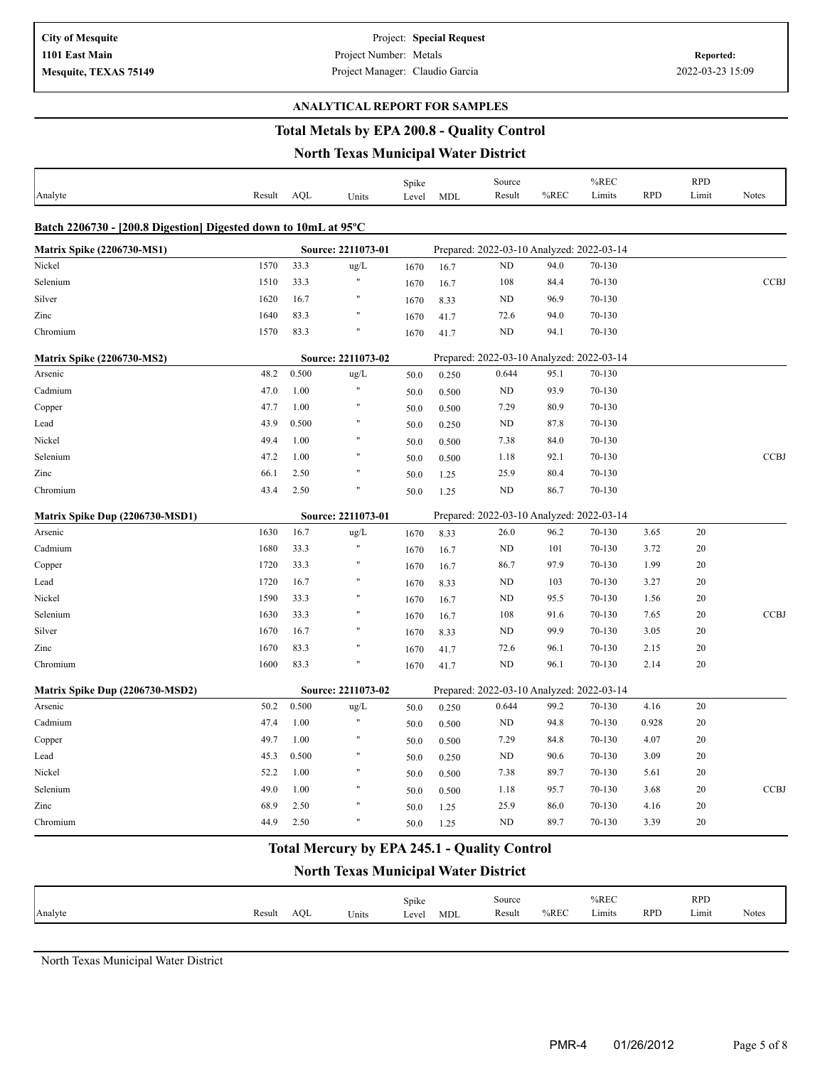#### **ANALYTICAL REPORT FOR SAMPLES**

# **Total Metals by EPA 200.8 - Quality Control**

### **North Texas Municipal Water District**

|                                                                 |        |       |                      | Spike |            | Source                                    |      | %REC   |            | <b>RPD</b> |              |
|-----------------------------------------------------------------|--------|-------|----------------------|-------|------------|-------------------------------------------|------|--------|------------|------------|--------------|
| Analyte                                                         | Result | AOL   | Units                | Level | <b>MDL</b> | Result                                    | %REC | Limits | <b>RPD</b> | Limit      | <b>Notes</b> |
| Batch 2206730 - [200.8 Digestion] Digested down to 10mL at 95°C |        |       |                      |       |            |                                           |      |        |            |            |              |
| <b>Matrix Spike (2206730-MS1)</b>                               |        |       | Source: 2211073-01   |       |            | Prepared: 2022-03-10 Analyzed: 2022-03-14 |      |        |            |            |              |
| Nickel                                                          | 1570   | 33.3  | ug/L                 | 1670  | 16.7       | ND                                        | 94.0 | 70-130 |            |            |              |
| Selenium                                                        | 1510   | 33.3  | $\pmb{\cdot}$        | 1670  | 16.7       | 108                                       | 84.4 | 70-130 |            |            | <b>CCBJ</b>  |
| Silver                                                          | 1620   | 16.7  | $\pmb{\mathfrak{m}}$ | 1670  | 8.33       | ND                                        | 96.9 | 70-130 |            |            |              |
| Zinc                                                            | 1640   | 83.3  | $\mathbf{u}$         | 1670  | 41.7       | 72.6                                      | 94.0 | 70-130 |            |            |              |
| Chromium                                                        | 1570   | 83.3  | Ħ                    | 1670  | 41.7       | ND                                        | 94.1 | 70-130 |            |            |              |
| <b>Matrix Spike (2206730-MS2)</b>                               |        |       | Source: 2211073-02   |       |            | Prepared: 2022-03-10 Analyzed: 2022-03-14 |      |        |            |            |              |
| Arsenic                                                         | 48.2   | 0.500 | ug/L                 | 50.0  | 0.250      | 0.644                                     | 95.1 | 70-130 |            |            |              |
| Cadmium                                                         | 47.0   | 1.00  | $\pmb{\cdot}$        | 50.0  | 0.500      | ND                                        | 93.9 | 70-130 |            |            |              |
| Copper                                                          | 47.7   | 1.00  | Ħ                    | 50.0  | 0.500      | 7.29                                      | 80.9 | 70-130 |            |            |              |
| Lead                                                            | 43.9   | 0.500 | $\pmb{\mathfrak{m}}$ | 50.0  | 0.250      | ND                                        | 87.8 | 70-130 |            |            |              |
| Nickel                                                          | 49.4   | 1.00  | $^{\dagger}$         | 50.0  | 0.500      | 7.38                                      | 84.0 | 70-130 |            |            |              |
| Selenium                                                        | 47.2   | 1.00  | $^{\dagger}$         | 50.0  | 0.500      | 1.18                                      | 92.1 | 70-130 |            |            | <b>CCBJ</b>  |
| Zinc                                                            | 66.1   | 2.50  | Ħ                    | 50.0  | 1.25       | 25.9                                      | 80.4 | 70-130 |            |            |              |
| Chromium                                                        | 43.4   | 2.50  |                      | 50.0  | 1.25       | <b>ND</b>                                 | 86.7 | 70-130 |            |            |              |
| Matrix Spike Dup (2206730-MSD1)                                 |        |       | Source: 2211073-01   |       |            | Prepared: 2022-03-10 Analyzed: 2022-03-14 |      |        |            |            |              |
| Arsenic                                                         | 1630   | 16.7  | ug/L                 | 1670  | 8.33       | 26.0                                      | 96.2 | 70-130 | 3.65       | 20         |              |
| Cadmium                                                         | 1680   | 33.3  | $\pmb{\mathfrak{m}}$ | 1670  | 16.7       | <b>ND</b>                                 | 101  | 70-130 | 3.72       | 20         |              |
| Copper                                                          | 1720   | 33.3  | $\pmb{\mathfrak{m}}$ | 1670  | 16.7       | 86.7                                      | 97.9 | 70-130 | 1.99       | 20         |              |
| Lead                                                            | 1720   | 16.7  | $^{\dagger}$         | 1670  | 8.33       | ND                                        | 103  | 70-130 | 3.27       | 20         |              |
| Nickel                                                          | 1590   | 33.3  | Ħ                    | 1670  | 16.7       | <b>ND</b>                                 | 95.5 | 70-130 | 1.56       | 20         |              |
| Selenium                                                        | 1630   | 33.3  |                      | 1670  | 16.7       | 108                                       | 91.6 | 70-130 | 7.65       | 20         | <b>CCBJ</b>  |
| Silver                                                          | 1670   | 16.7  | $\pmb{\mathfrak{m}}$ | 1670  | 8.33       | ND                                        | 99.9 | 70-130 | 3.05       | 20         |              |
| Zinc                                                            | 1670   | 83.3  | $^{\dagger}$         | 1670  | 41.7       | 72.6                                      | 96.1 | 70-130 | 2.15       | 20         |              |
| Chromium                                                        | 1600   | 83.3  | $\pmb{\mathfrak{m}}$ | 1670  | 41.7       | <b>ND</b>                                 | 96.1 | 70-130 | 2.14       | 20         |              |
| Matrix Spike Dup (2206730-MSD2)                                 |        |       | Source: 2211073-02   |       |            | Prepared: 2022-03-10 Analyzed: 2022-03-14 |      |        |            |            |              |
| Arsenic                                                         | 50.2   | 0.500 | $\text{ug/L}$        | 50.0  | 0.250      | 0.644                                     | 99.2 | 70-130 | 4.16       | 20         |              |
| Cadmium                                                         | 47.4   | 1.00  | $\pmb{\cdot}$        | 50.0  | 0.500      | <b>ND</b>                                 | 94.8 | 70-130 | 0.928      | 20         |              |
| Copper                                                          | 49.7   | 1.00  | Ħ                    | 50.0  | 0.500      | 7.29                                      | 84.8 | 70-130 | 4.07       | 20         |              |
| Lead                                                            | 45.3   | 0.500 | $\pmb{\mathfrak{m}}$ | 50.0  | 0.250      | ND                                        | 90.6 | 70-130 | 3.09       | 20         |              |
| Nickel                                                          | 52.2   | 1.00  | $\pmb{\mathfrak{m}}$ | 50.0  | 0.500      | 7.38                                      | 89.7 | 70-130 | 5.61       | 20         |              |
| Selenium                                                        | 49.0   | 1.00  | $^{\dagger}$         | 50.0  | 0.500      | 1.18                                      | 95.7 | 70-130 | 3.68       | 20         | <b>CCBJ</b>  |
| Zinc                                                            | 68.9   | 2.50  | $^{\dagger}$         | 50.0  | 1.25       | 25.9                                      | 86.0 | 70-130 | 4.16       | 20         |              |
| Chromium                                                        | 44.9   | 2.50  | $^{\dagger}$         | 50.0  | 1.25       | ND                                        | 89.7 | 70-130 | 3.39       | 20         |              |

# **Total Mercury by EPA 245.1 - Quality Control**

### **North Texas Municipal Water District**

|         |        |     |       | Spike |     | Source |      | %REC   |            | <b>RPD</b> |              |
|---------|--------|-----|-------|-------|-----|--------|------|--------|------------|------------|--------------|
| Analyte | Result | AOL | Units | Level | MDL | Result | %REC | Limits | <b>RPL</b> | Limit      | <b>Notes</b> |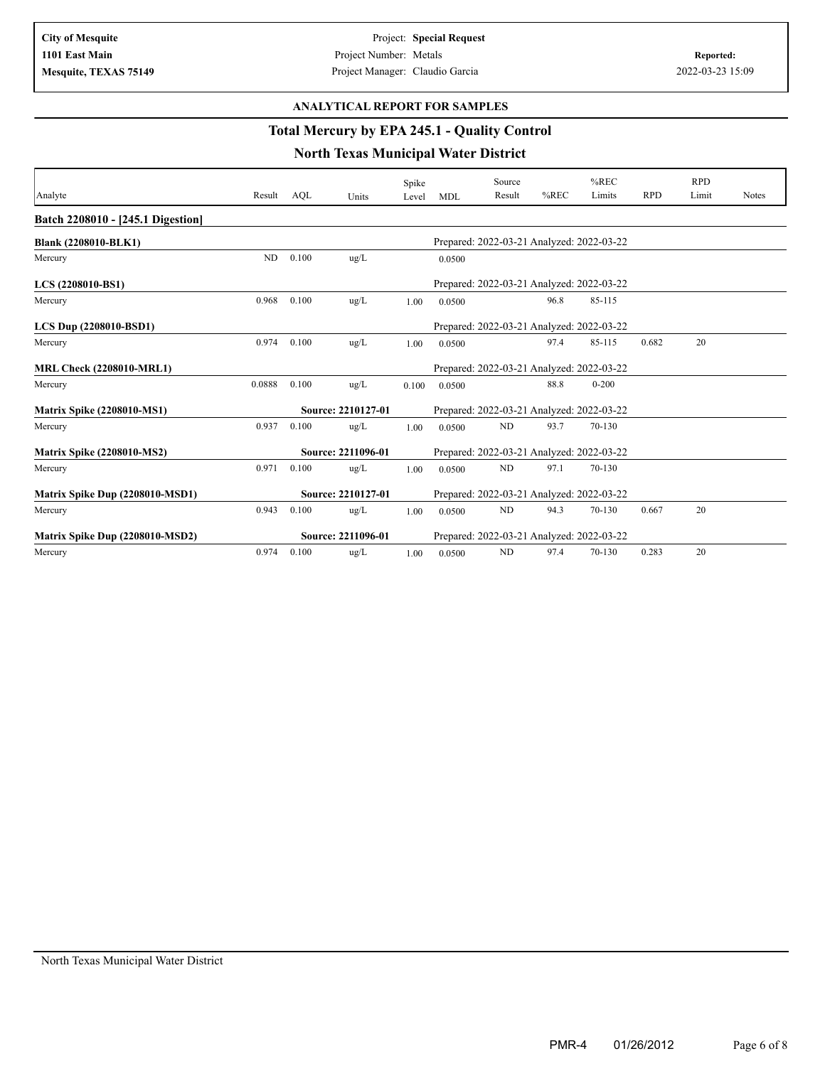#### **ANALYTICAL REPORT FOR SAMPLES**

# **Total Mercury by EPA 245.1 - Quality Control**

|                                   |        |       |                    | Spike |                                           | Source                                    |         | $%$ REC   |            | <b>RPD</b> |              |
|-----------------------------------|--------|-------|--------------------|-------|-------------------------------------------|-------------------------------------------|---------|-----------|------------|------------|--------------|
| Analyte                           | Result | AOL   | Units              | Level | <b>MDL</b>                                | Result                                    | $%$ REC | Limits    | <b>RPD</b> | Limit      | <b>Notes</b> |
| Batch 2208010 - [245.1 Digestion] |        |       |                    |       |                                           |                                           |         |           |            |            |              |
| Blank (2208010-BLK1)              |        |       |                    |       |                                           | Prepared: 2022-03-21 Analyzed: 2022-03-22 |         |           |            |            |              |
| Mercury                           | ND     | 0.100 | ug/L               |       | 0.0500                                    |                                           |         |           |            |            |              |
| LCS (2208010-BS1)                 |        |       |                    |       |                                           | Prepared: 2022-03-21 Analyzed: 2022-03-22 |         |           |            |            |              |
| Mercury                           | 0.968  | 0.100 | ug/L               | 1.00  | 0.0500                                    |                                           | 96.8    | 85-115    |            |            |              |
| LCS Dup (2208010-BSD1)            |        |       |                    |       |                                           | Prepared: 2022-03-21 Analyzed: 2022-03-22 |         |           |            |            |              |
| Mercury                           | 0.974  | 0.100 | ug/L               | 1.00  | 0.0500                                    |                                           | 97.4    | 85-115    | 0.682      | 20         |              |
| <b>MRL Check (2208010-MRL1)</b>   |        |       |                    |       |                                           | Prepared: 2022-03-21 Analyzed: 2022-03-22 |         |           |            |            |              |
| Mercury                           | 0.0888 | 0.100 | ug/L               | 0.100 | 0.0500                                    |                                           | 88.8    | $0 - 200$ |            |            |              |
| <b>Matrix Spike (2208010-MS1)</b> |        |       | Source: 2210127-01 |       |                                           | Prepared: 2022-03-21 Analyzed: 2022-03-22 |         |           |            |            |              |
| Mercury                           | 0.937  | 0.100 | ug/L               | 1.00  | 0.0500                                    | ND                                        | 93.7    | 70-130    |            |            |              |
| <b>Matrix Spike (2208010-MS2)</b> |        |       | Source: 2211096-01 |       |                                           | Prepared: 2022-03-21 Analyzed: 2022-03-22 |         |           |            |            |              |
| Mercury                           | 0.971  | 0.100 | ug/L               | 1.00  | 0.0500                                    | ND                                        | 97.1    | 70-130    |            |            |              |
| Matrix Spike Dup (2208010-MSD1)   |        |       | Source: 2210127-01 |       | Prepared: 2022-03-21 Analyzed: 2022-03-22 |                                           |         |           |            |            |              |
| Mercury                           | 0.943  | 0.100 | ug/L               | 1.00  | 0.0500                                    | ND                                        | 94.3    | 70-130    | 0.667      | 20         |              |
| Matrix Spike Dup (2208010-MSD2)   |        |       | Source: 2211096-01 |       |                                           | Prepared: 2022-03-21 Analyzed: 2022-03-22 |         |           |            |            |              |
| Mercury                           | 0.974  | 0.100 | $\rm ug/L$         | 1.00  | 0.0500                                    | <b>ND</b>                                 | 97.4    | 70-130    | 0.283      | 20         |              |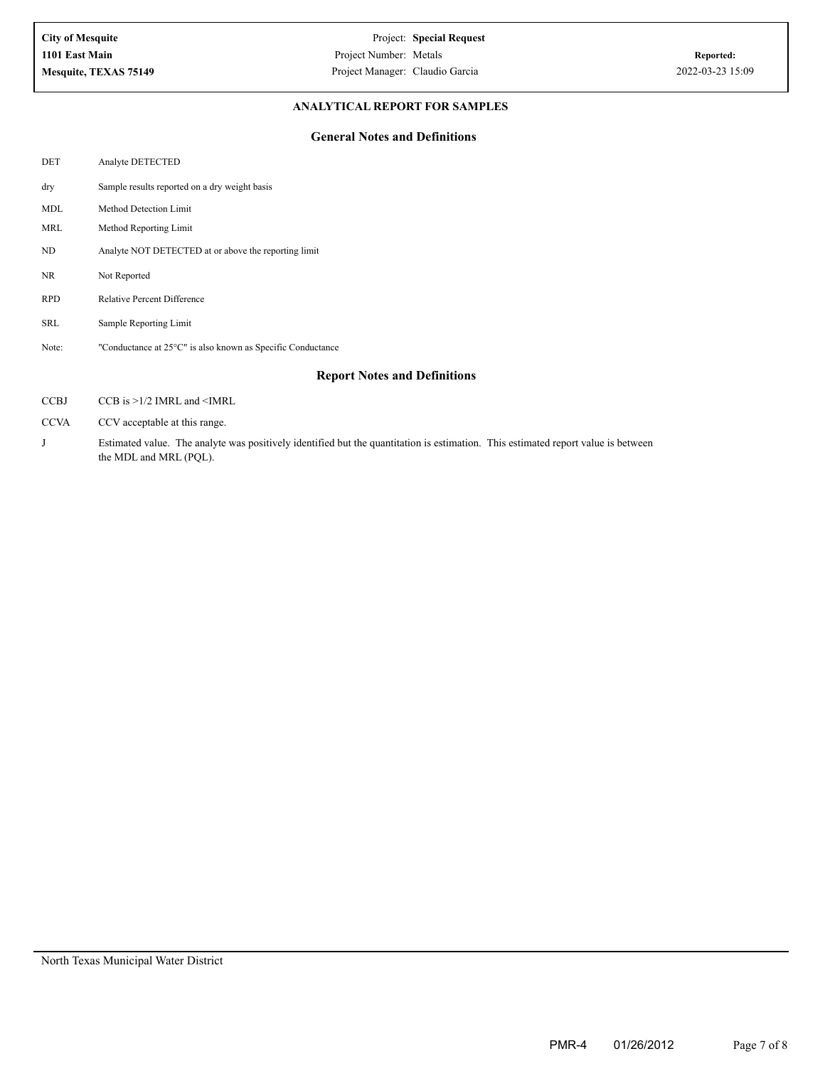### **ANALYTICAL REPORT FOR SAMPLES**

#### **General Notes and Definitions**

| DET         | Analyte DETECTED                                                                                                                  |
|-------------|-----------------------------------------------------------------------------------------------------------------------------------|
| dry         | Sample results reported on a dry weight basis                                                                                     |
| <b>MDL</b>  | Method Detection Limit                                                                                                            |
| MRL         | Method Reporting Limit                                                                                                            |
| ND          | Analyte NOT DETECTED at or above the reporting limit                                                                              |
| NR          | Not Reported                                                                                                                      |
| <b>RPD</b>  | <b>Relative Percent Difference</b>                                                                                                |
| SRL         | Sample Reporting Limit                                                                                                            |
| Note:       | "Conductance at 25°C" is also known as Specific Conductance                                                                       |
|             | <b>Report Notes and Definitions</b>                                                                                               |
| <b>CCBJ</b> | $CCB$ is $>1/2$ IMRL and $\leq$ IMRL                                                                                              |
| <b>CCVA</b> | CCV acceptable at this range.                                                                                                     |
| J           | Estimated value. The analyte was positively identified but the quantitation is estimation. This estimated report value is between |

the MDL and MRL (PQL).